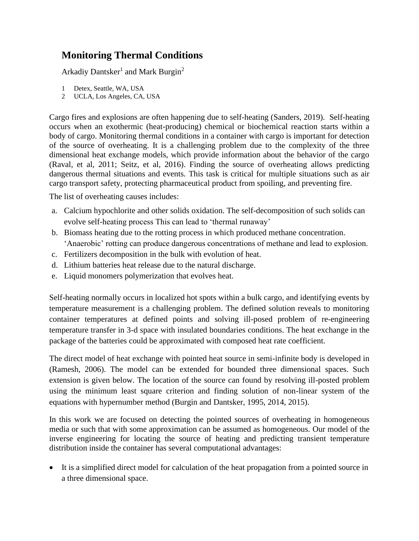## **Monitoring Thermal Conditions**

Arkadiy Dantsker<sup>1</sup> and Mark Burgin<sup>2</sup>

- 1 Detex, Seattle, WA, USA
- 2 UCLA, Los Angeles, CA, USA

Cargo fires and explosions are often happening due to self-heating (Sanders, 2019). Self-heating occurs when an exothermic (heat-producing) chemical or biochemical reaction starts within a body of cargo. Monitoring thermal conditions in a container with cargo is important for detection of the source of overheating. It is a challenging problem due to the complexity of the three dimensional heat exchange models, which provide information about the behavior of the cargo (Raval, et al, 2011; Seitz, et al, 2016). Finding the source of overheating allows predicting dangerous thermal situations and events. This task is critical for multiple situations such as air cargo transport safety, protecting pharmaceutical product from spoiling, and preventing fire.

The list of overheating causes includes:

- a. Calcium hypochlorite and other solids oxidation. The self-decomposition of such solids can evolve self-heating process This can lead to 'thermal runaway'
- b. Biomass heating due to the rotting process in which produced methane concentration. 'Anaerobic' rotting can produce dangerous concentrations of methane and lead to explosion.
- c. Fertilizers decomposition in the bulk with evolution of heat.
- d. Lithium batteries heat release due to the natural discharge.
- e. Liquid monomers polymerization that evolves heat.

Self-heating normally occurs in localized hot spots within a bulk cargo, and identifying events by temperature measurement is a challenging problem. The defined solution reveals to monitoring container temperatures at defined points and solving ill-posed problem of re-engineering temperature transfer in 3-d space with insulated boundaries conditions. The heat exchange in the package of the batteries could be approximated with composed heat rate coefficient.

The direct model of heat exchange with pointed heat source in semi-infinite body is developed in (Ramesh, 2006). The model can be extended for bounded three dimensional spaces. Such extension is given below. The location of the source can found by resolving ill-posted problem using the minimum least square criterion and finding solution of non-linear system of the equations with hypernumber method (Burgin and Dantsker, 1995, 2014, 2015).

In this work we are focused on detecting the pointed sources of overheating in homogeneous media or such that with some approximation can be assumed as homogeneous. Our model of the inverse engineering for locating the source of heating and predicting transient temperature distribution inside the container has several computational advantages:

• It is a simplified direct model for calculation of the heat propagation from a pointed source in a three dimensional space.